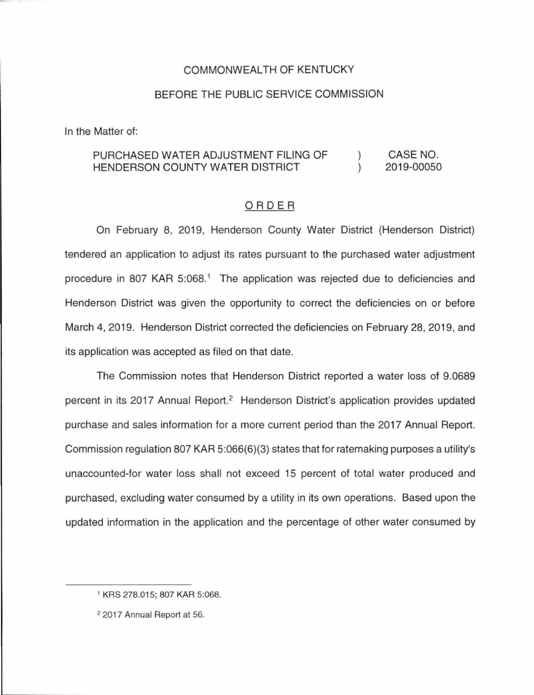## COMMONWEALTH OF KENTUCKY

#### BEFORE THE PUBLIC SERVICE COMMISSION

In the Matter of:

#### PURCHASED WATER ADJUSTMENT FILING OF HENDERSON COUNTY WATER DISTRICT )  $\mathcal{L}$ CASE NO. 2019-00050

#### ORDER

On February 8, 2019, Henderson County Water District (Henderson District) tendered an application to adjust its rates pursuant to the purchased water adjustment procedure in 807 KAR 5:068.<sup>1</sup> The application was rejected due to deficiencies and Henderson District was given the opportunity to correct the deficiencies on or before March 4, 2019. Henderson District corrected the deficiencies on February 28, 2019, and its application was accepted as filed on that date.

The Commission notes that Henderson District reported a water loss of 9.0689 percent in its 2017 Annual Report.<sup>2</sup> Henderson District's application provides updated purchase and sales information for a more current period than the 2017 Annual Report. Commission regulation 807 KAR 5:066(6)(3) states that for ratemaking purposes a utility's unaccounted-for water loss shall not exceed 15 percent of total water produced and purchased, excluding water consumed by a utility in its own operations. Based upon the updated information in the application and the percentage of other water consumed by

<sup>1</sup>KRS 278.015; 807 KAR 5:068.

<sup>2 2017</sup> Annual Report at 56.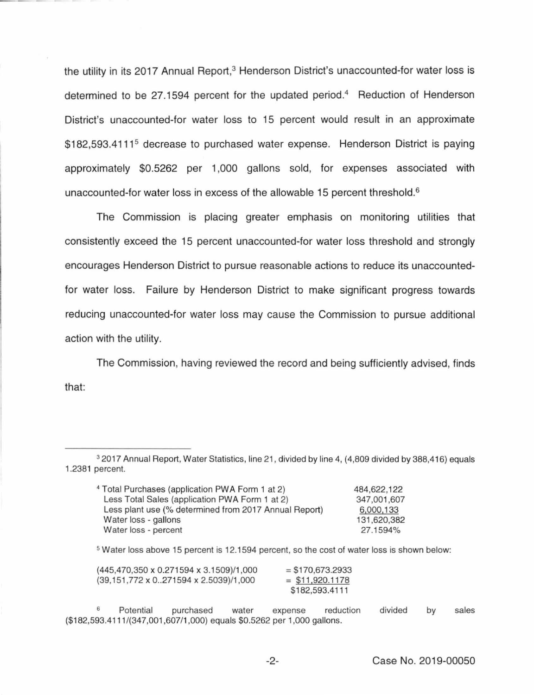the utility in its 2017 Annual Report,<sup>3</sup> Henderson District's unaccounted-for water loss is determined to be 27.1594 percent for the updated period.<sup>4</sup> Reduction of Henderson District's unaccounted-for water loss to 15 percent would result in an approximate \$182,593,4111<sup>5</sup> decrease to purchased water expense. Henderson District is paying approximately \$0.5262 per 1,000 gallons sold, for expenses associated with unaccounted-for water loss in excess of the allowable 15 percent threshold. 6

The Commission is placing greater emphasis on monitoring utilities that consistently exceed the 15 percent unaccounted-for water loss threshold and strongly encourages Henderson District to pursue reasonable actions to reduce its unaccountedfor water loss. Failure by Henderson District to make significant progress towards reducing unaccounted-for water loss may cause the Commission to pursue additional action with the utility.

The Commission, having reviewed the record and being sufficiently advised, finds that:

<sup>3</sup>2017 Annual Report, Water Statistics, line 21, divided by line 4, (4,809 divided by 388,416) equals 1.2381 percent.

| <sup>4</sup> Total Purchases (application PWA Form 1 at 2) | 484,622,122 |
|------------------------------------------------------------|-------------|
| Less Total Sales (application PWA Form 1 at 2)             | 347,001,607 |
| Less plant use (% determined from 2017 Annual Report)      | 6,000,133   |
| Water loss - gallons                                       | 131,620,382 |
| Water loss - percent                                       | 27.1594%    |
|                                                            |             |

<sup>5</sup>Water loss above 15 percent is 12.1594 percent, so the cost of water loss is shown below:

| (445,470,350 x 0.271594 x 3.1509)/1,000 | $=$ \$170,673,2933 |
|-----------------------------------------|--------------------|
| (39.151.772 x 0271594 x 2.5039)/1.000   | $=$ \$11,920.1178  |
|                                         | \$182,593.4111     |

Potential purchased water expense reduction (\$182,593.4111/(347,001 ,607/1,000) equals \$0.5262 per 1,000 gallons. divided by sales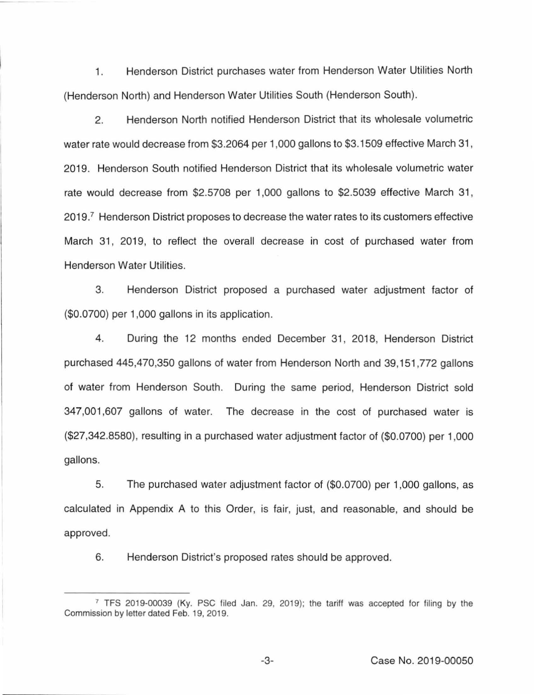1. Henderson District purchases water from Henderson Water Utilities North (Henderson North) and Henderson Water Utilities South (Henderson South).

2. Henderson North notified Henderson District that its wholesale volumetric water rate would decrease from \$3.2064 per 1,000 gallons to \$3.1509 effective March 31 , 2019. Henderson South notified Henderson District that its wholesale volumetric water rate would decrease from \$2.5708 per 1,000 gallons to \$2.5039 effective March 31, 2019.<sup>7</sup> Henderson District proposes to decrease the water rates to its customers effective March 31, 2019, to reflect the overall decrease in cost of purchased water from Henderson Water Utilities.

3. Henderson District proposed a purchased water adjustment factor of (\$0.0700) per 1,000 gallons in its application.

4. During the 12 months ended December 31, 2018, Henderson District purchased 445,470,350 gallons of water from Henderson North and 39,151 ,772 gallons of water from Henderson South. During the same period, Henderson District sold 347,001 ,607 gallons of water. The decrease in the cost of purchased water is (\$27,342.8580), resulting in a purchased water adjustment factor of (\$0.0700) per 1,000 gallons.

5. The purchased water adjustment factor of (\$0.0700) per 1,000 gallons, as calculated in Appendix A to this Order, is fair, just, and reasonable, and should be approved.

6. Henderson District's proposed rates should be approved.

<sup>7</sup>TFS 2019-00039 (Ky. PSC filed Jan. 29, 2019); the tariff was accepted for filing by the Commission by letter dated Feb. 19, 2019.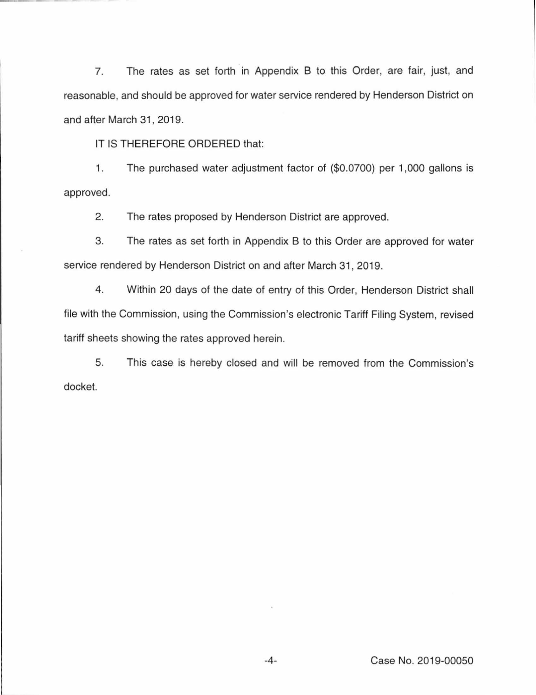7. The rates as set forth in Appendix B to this Order, are fair, just, and reasonable, and should be approved for water service rendered by Henderson District on and after March 31, 2019.

IT IS THEREFORE ORDERED that:

1. The purchased water adjustment factor of (\$0.0700) per 1 ,000 gallons is approved.

2. The rates proposed by Henderson District are approved.

3. The rates as set forth in Appendix B to this Order are approved for water service rendered by Henderson District on and after March 31, 2019.

4. Within 20 days of the date of entry of this Order, Henderson District shall file with the Commission, using the Commission's electronic Tariff Filing System, revised tariff sheets showing the rates approved herein.

5. This case is hereby closed and will be removed from the Commission's docket.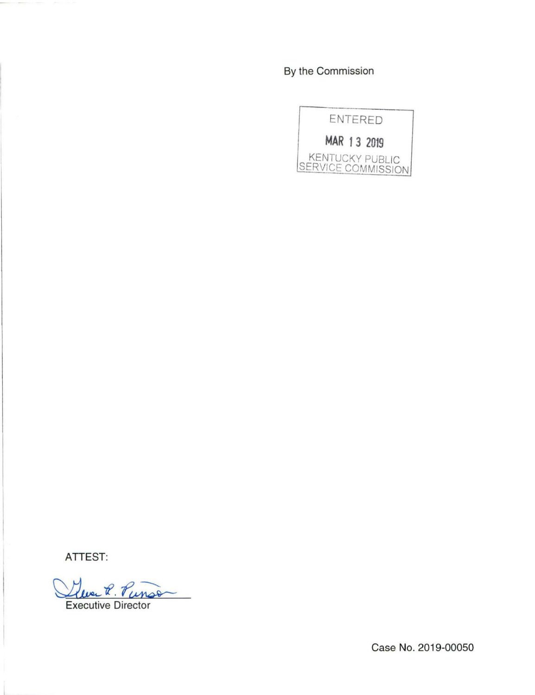By the Commission



**ATTEST:** 

 $\alpha$ . Tun

Executive Director

Case No. 2019-00050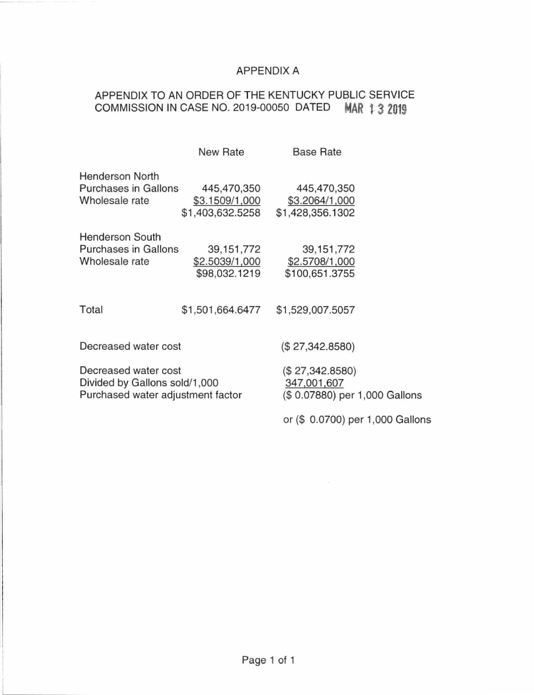## APPENDIX A

# APPENDIX TO AN ORDER OF THE KENTUCKY PUBLIC SERVICE COMMISSION IN CASE NO. 2019-00050 DATED **MAR 132019**

|                                                                                            | New Rate                                          | <b>Base Rate</b>                                                |  |
|--------------------------------------------------------------------------------------------|---------------------------------------------------|-----------------------------------------------------------------|--|
| <b>Henderson North</b><br><b>Purchases in Gallons</b><br>Wholesale rate                    | 445,470,350<br>\$3.1509/1,000<br>\$1,403,632.5258 | 445,470,350<br>\$3.2064/1,000<br>\$1,428,356.1302               |  |
| Henderson South<br><b>Purchases in Gallons</b><br>Wholesale rate                           | 39, 151, 772<br>\$2.5039/1,000<br>\$98,032.1219   | 39, 151, 772<br>\$2.5708/1,000<br>\$100,651.3755                |  |
| Total                                                                                      | \$1,501,664.6477                                  | \$1,529,007.5057                                                |  |
| Decreased water cost                                                                       |                                                   | (\$27,342.8580)                                                 |  |
| Decreased water cost<br>Divided by Gallons sold/1,000<br>Purchased water adjustment factor |                                                   | (\$27,342.8580)<br>347,001,607<br>(\$0.07880) per 1,000 Gallons |  |
|                                                                                            |                                                   | or (\$ 0.0700) per 1,000 Gallons                                |  |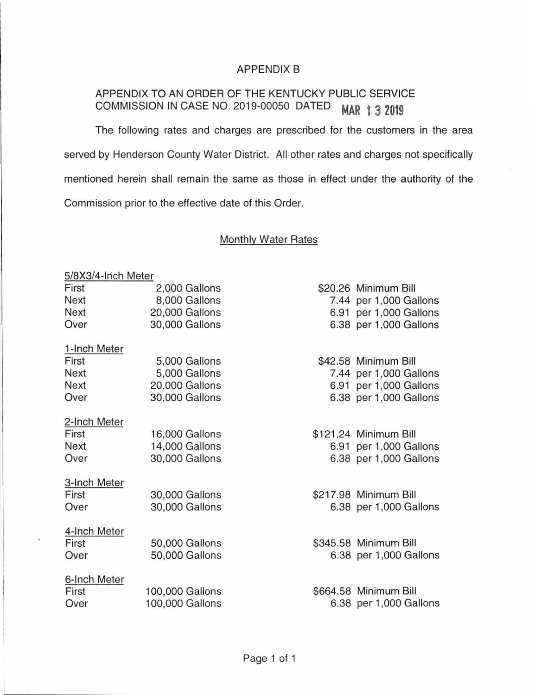## APPENDIX B

# APPENDIX TO AN ORDER OF THE KENTUCKY PUBLIC SERVICE COMMISSION IN CASE NO. 2019-00050 DATED **MAR 13 2019**

The following rates and charges are prescribed for the customers in the area served by Henderson County Water District. All other rates and charges not specifically mentioned herein shall remain the same as those in effect under the authority of the Commission prior to the effective date of this Order.

## Monthly Water Rates

# 5/8X3/4-lnch Meter First 2,000 Gallons \$20.26 Minimum Bill Next 8,000 Gallons 7.44 per 1,000 Gallons Next 20,000 Gallons 6.91 per 1,000 Gallons Over 30,000 Gallons 6.38 per 1,000 Gallons 1-lnch Meter First 5,000 Gallons \$42.58 Minimum Bill Next 5,000 Gallons 7.44 per 1,000 Gallons Next 20,000 Gallons 6.91 per 1,000 Gallons Over 30,000 Gallons 6.38 per 1,000 Gallons 2-lnch Meter First 16,000 Gallons \$121.24 Minimum Bill Next 14,000 Gallons 6.91 per 1,000 Gallons Over 30,000 Gallons 6.38 per 1,000 Gallons 3-lnch Meter First 30,000 Gallons \$217.98 Minimum Bill Over 30,000 Gallons 6.38 per 1,000 Gallons 4-lnch Meter First 50,000 Gallons \$345.58 Minimum Bill Over 50,000 Gallons 6.38 per 1,000 Gallons 6-lnch Meter First 100,000 Gallons \$664.58 Minimum Bill

Over 100,000 Gallons 6.38 per 1,000 Gallons